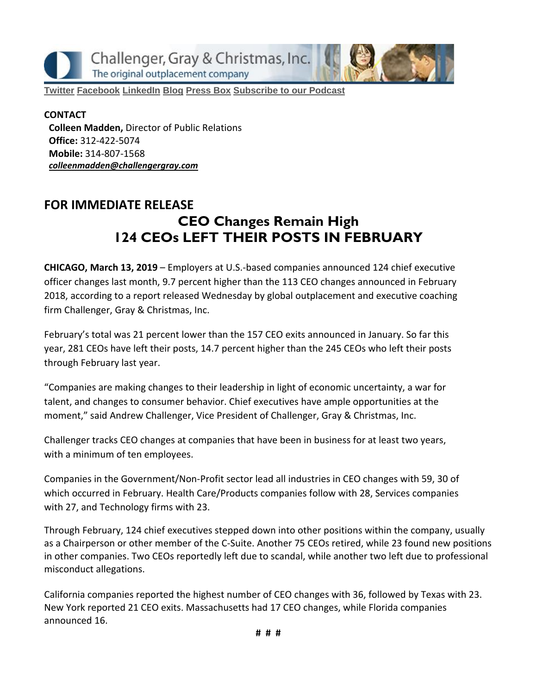Challenger, Gray & Christmas, Inc. The original outplacement company

**[Twitter](https://twitter.com/#!/ChallengerGray) [Facebook](https://www.facebook.com/ChallengerGray) [LinkedIn](http://www.linkedin.com/company/28264?trk=tyah) [Blog](http://www.challengergray.com/press/blog) [Press](http://www.challengergray.com/press/press-releases) Box [Subscribe](https://itunes.apple.com/us/podcast/challenger-podcast-hr-passport/id1155541697?mt=2) to our Podcast**

**CONTACT Colleen Madden,** Director of Public Relations **Office:** 312-422-5074 **Mobile:** 314-807-1568 *[colleenmadden@challengergray.com](mailto:colleenmadden@challengergray.com)*

# **FOR IMMEDIATE RELEASE CEO Changes Remain High 124 CEOs LEFT THEIR POSTS IN FEBRUARY**

**CHICAGO, March 13, 2019** – Employers at U.S.-based companies announced 124 chief executive officer changes last month, 9.7 percent higher than the 113 CEO changes announced in February 2018, according to a report released Wednesday by global outplacement and executive coaching firm Challenger, Gray & Christmas, Inc.

February's total was 21 percent lower than the 157 CEO exits announced in January. So far this year, 281 CEOs have left their posts, 14.7 percent higher than the 245 CEOs who left their posts through February last year.

"Companies are making changes to their leadership in light of economic uncertainty, a war for talent, and changes to consumer behavior. Chief executives have ample opportunities at the moment," said Andrew Challenger, Vice President of Challenger, Gray & Christmas, Inc.

Challenger tracks CEO changes at companies that have been in business for at least two years, with a minimum of ten employees.

Companies in the Government/Non-Profit sector lead all industries in CEO changes with 59, 30 of which occurred in February. Health Care/Products companies follow with 28, Services companies with 27, and Technology firms with 23.

Through February, 124 chief executives stepped down into other positions within the company, usually as a Chairperson or other member of the C-Suite. Another 75 CEOs retired, while 23 found new positions in other companies. Two CEOs reportedly left due to scandal, while another two left due to professional misconduct allegations.

California companies reported the highest number of CEO changes with 36, followed by Texas with 23. New York reported 21 CEO exits. Massachusetts had 17 CEO changes, while Florida companies announced 16.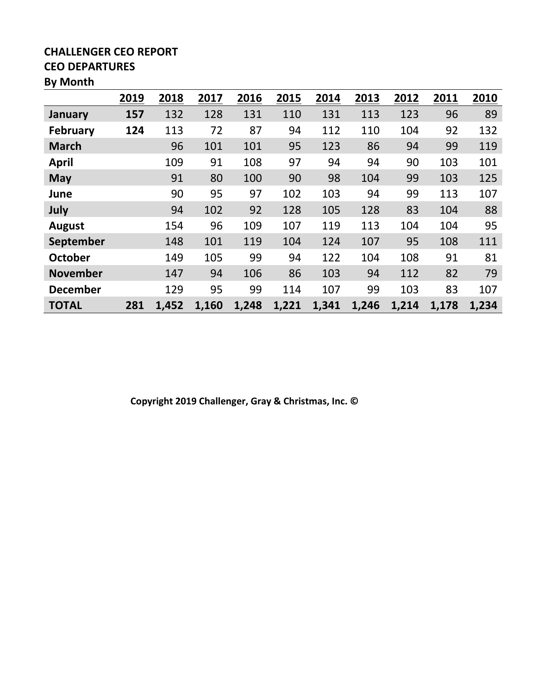#### **CHALLENGER CEO REPORT CEO DEPARTURES**

## **By Month**

|                 | 2019 | 2018  | 2017  | 2016  | 2015  | 2014  | 2013  | 2012  | 2011  | 2010  |
|-----------------|------|-------|-------|-------|-------|-------|-------|-------|-------|-------|
| January         | 157  | 132   | 128   | 131   | 110   | 131   | 113   | 123   | 96    | 89    |
| <b>February</b> | 124  | 113   | 72    | 87    | 94    | 112   | 110   | 104   | 92    | 132   |
| <b>March</b>    |      | 96    | 101   | 101   | 95    | 123   | 86    | 94    | 99    | 119   |
| April           |      | 109   | 91    | 108   | 97    | 94    | 94    | 90    | 103   | 101   |
| <b>May</b>      |      | 91    | 80    | 100   | 90    | 98    | 104   | 99    | 103   | 125   |
| June            |      | 90    | 95    | 97    | 102   | 103   | 94    | 99    | 113   | 107   |
| July            |      | 94    | 102   | 92    | 128   | 105   | 128   | 83    | 104   | 88    |
| <b>August</b>   |      | 154   | 96    | 109   | 107   | 119   | 113   | 104   | 104   | 95    |
| September       |      | 148   | 101   | 119   | 104   | 124   | 107   | 95    | 108   | 111   |
| <b>October</b>  |      | 149   | 105   | 99    | 94    | 122   | 104   | 108   | 91    | 81    |
| <b>November</b> |      | 147   | 94    | 106   | 86    | 103   | 94    | 112   | 82    | 79    |
| <b>December</b> |      | 129   | 95    | 99    | 114   | 107   | 99    | 103   | 83    | 107   |
| <b>TOTAL</b>    | 281  | 1,452 | 1,160 | 1,248 | 1,221 | 1,341 | 1,246 | 1,214 | 1,178 | 1,234 |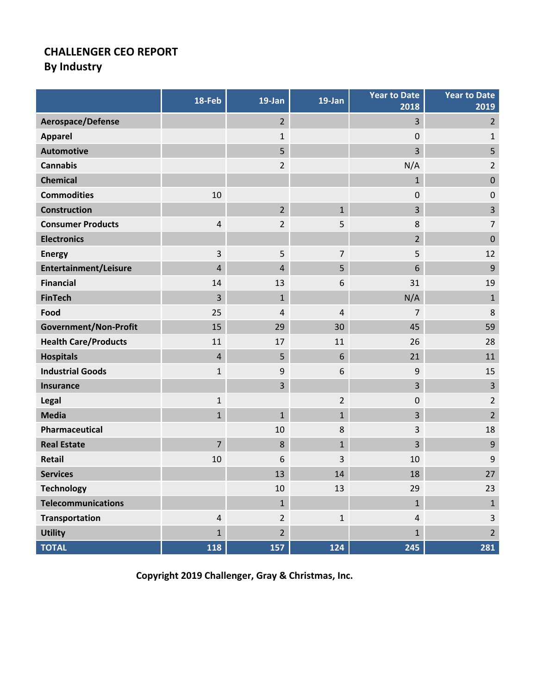### **CHALLENGER CEO REPORT By Industry**

|                              | 18-Feb         | 19-Jan           | 19-Jan         | <b>Year to Date</b><br>2018 | <b>Year to Date</b><br>2019 |
|------------------------------|----------------|------------------|----------------|-----------------------------|-----------------------------|
| Aerospace/Defense            |                | $2^{1}$          |                | 3                           | $\overline{2}$              |
| <b>Apparel</b>               |                | $\mathbf{1}$     |                | $\mathbf 0$                 | 1                           |
| <b>Automotive</b>            |                | 5                |                | 3                           | 5                           |
| <b>Cannabis</b>              |                | $\overline{2}$   |                | N/A                         | $\overline{2}$              |
| <b>Chemical</b>              |                |                  |                | 1                           | $\mathbf 0$                 |
| <b>Commodities</b>           | 10             |                  |                | 0                           | $\mathbf 0$                 |
| Construction                 |                | $\overline{2}$   | $\mathbf{1}$   | 3                           | 3                           |
| <b>Consumer Products</b>     | $\overline{4}$ | $\overline{2}$   | 5              | 8                           | $\overline{7}$              |
| <b>Electronics</b>           |                |                  |                | $\overline{2}$              | $\mathbf 0$                 |
| <b>Energy</b>                | 3              | 5                | 7              | 5                           | 12                          |
| <b>Entertainment/Leisure</b> | $\overline{4}$ | $\overline{4}$   | 5              | 6                           | 9                           |
| <b>Financial</b>             | 14             | 13               | 6              | 31                          | 19                          |
| <b>FinTech</b>               | $\overline{3}$ | $\mathbf{1}$     |                | N/A                         | $\mathbf{1}$                |
| Food                         | 25             | $\overline{4}$   | $\overline{4}$ | $\overline{7}$              | 8                           |
| <b>Government/Non-Profit</b> | 15             | 29               | 30             | 45                          | 59                          |
| <b>Health Care/Products</b>  | 11             | 17               | 11             | 26                          | 28                          |
| <b>Hospitals</b>             | $\overline{4}$ | 5                | 6              | 21                          | 11                          |
| <b>Industrial Goods</b>      | $\mathbf 1$    | $\boldsymbol{9}$ | 6              | 9                           | 15                          |
| Insurance                    |                | 3                |                | 3                           | $\overline{3}$              |
| Legal                        | $\mathbf{1}$   |                  | $\overline{2}$ | 0                           | $\overline{2}$              |
| <b>Media</b>                 | $\mathbf{1}$   | $\mathbf{1}$     | $\mathbf{1}$   | 3                           | $\overline{2}$              |
| Pharmaceutical               |                | 10               | 8              | 3                           | 18                          |
| <b>Real Estate</b>           | $\overline{7}$ | 8                | $\mathbf{1}$   | 3                           | 9                           |
| <b>Retail</b>                | 10             | 6                | 3              | 10                          | 9                           |
| <b>Services</b>              |                | 13               | 14             | 18                          | 27                          |
| <b>Technology</b>            |                | 10               | 13             | 29                          | 23                          |
| <b>Telecommunications</b>    |                | $\mathbf{1}$     |                | $\mathbf{1}$                | $\mathbf{1}$                |
| Transportation               | $\overline{4}$ | $\overline{2}$   | $\mathbf{1}$   | $\overline{4}$              | $\mathsf{3}$                |
| <b>Utility</b>               | $\mathbf{1}$   | $2^{1}$          |                | $\mathbf{1}$                | $\overline{2}$              |
| <b>TOTAL</b>                 | 118            | 157              | 124            | 245                         | 281                         |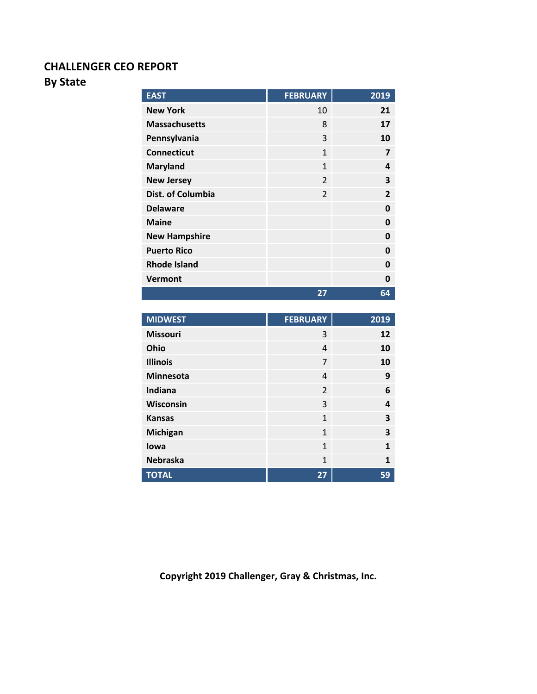### **CHALLENGER CEO REPORT**

### **By State**

| <b>EAST</b>              | <b>FEBRUARY</b> | 2019         |
|--------------------------|-----------------|--------------|
| <b>New York</b>          | 10              | 21           |
| <b>Massachusetts</b>     | 8               | 17           |
| Pennsylvania             | 3               | 10           |
| <b>Connecticut</b>       | $\mathbf{1}$    | 7            |
| <b>Maryland</b>          | 1               | 4            |
| <b>New Jersey</b>        | $\mathfrak{D}$  | 3            |
| <b>Dist. of Columbia</b> | $\mathfrak{p}$  | $\mathbf{z}$ |
| <b>Delaware</b>          |                 | O            |
| <b>Maine</b>             |                 | Ω            |
| <b>New Hampshire</b>     |                 | O            |
| <b>Puerto Rico</b>       |                 | 0            |
| <b>Rhode Island</b>      |                 | 0            |
| <b>Vermont</b>           |                 | Ω            |
|                          | 27              | 64           |

| <b>MIDWEST</b>   | <b>FEBRUARY</b> | 2019 |
|------------------|-----------------|------|
| <b>Missouri</b>  | 3               | 12   |
| Ohio             | 4               | 10   |
| <b>Illinois</b>  | 7               | 10   |
| <b>Minnesota</b> | 4               | 9    |
| Indiana          | $\overline{2}$  | 6    |
| Wisconsin        | 3               | 4    |
| <b>Kansas</b>    | $\mathbf{1}$    | 3    |
| <b>Michigan</b>  | $\mathbf{1}$    | 3    |
| lowa             | 1               | 1    |
| <b>Nebraska</b>  | $\mathbf{1}$    | 1    |
| <b>TOTAL</b>     | 27              | 59   |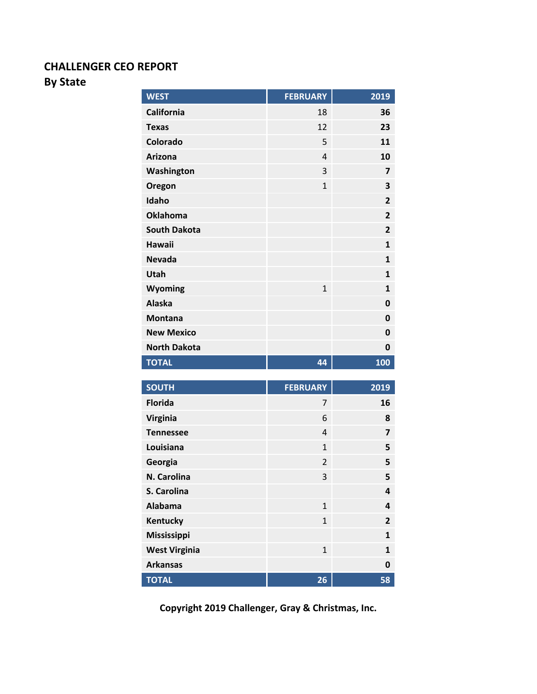#### **CHALLENGER CEO REPORT**

#### **By State**

| <b>WEST</b>         | <b>FEBRUARY</b> | 2019                    |
|---------------------|-----------------|-------------------------|
| California          | 18              | 36                      |
| <b>Texas</b>        | 12              | 23                      |
| Colorado            | 5               | 11                      |
| <b>Arizona</b>      | $\overline{4}$  | 10                      |
| Washington          | 3               | $\overline{\mathbf{z}}$ |
| Oregon              | $\mathbf{1}$    | 3                       |
| Idaho               |                 | $\overline{2}$          |
| <b>Oklahoma</b>     |                 | $\overline{2}$          |
| <b>South Dakota</b> |                 | $\overline{2}$          |
| <b>Hawaii</b>       |                 | $\mathbf{1}$            |
| <b>Nevada</b>       |                 | $\mathbf{1}$            |
| Utah                |                 | $\mathbf{1}$            |
| Wyoming             | $\mathbf{1}$    | $\mathbf{1}$            |
| <b>Alaska</b>       |                 | 0                       |
| <b>Montana</b>      |                 | 0                       |
| <b>New Mexico</b>   |                 | 0                       |
| <b>North Dakota</b> |                 | 0                       |
| <b>TOTAL</b>        | 44              | 100                     |

| <b>SOUTH</b>         | <b>FEBRUARY</b> | 2019           |
|----------------------|-----------------|----------------|
| <b>Florida</b>       | 7               | 16             |
| <b>Virginia</b>      | 6               | 8              |
| <b>Tennessee</b>     | 4               | 7              |
| Louisiana            | $\mathbf{1}$    | 5              |
| Georgia              | $\overline{2}$  | 5              |
| N. Carolina          | 3               | 5              |
| S. Carolina          |                 | 4              |
| Alabama              | $\mathbf{1}$    | 4              |
| Kentucky             | $\mathbf{1}$    | $\overline{2}$ |
| Mississippi          |                 | 1              |
| <b>West Virginia</b> | $\mathbf{1}$    | 1              |
| <b>Arkansas</b>      |                 | 0              |
| <b>TOTAL</b>         | 26              | 58             |